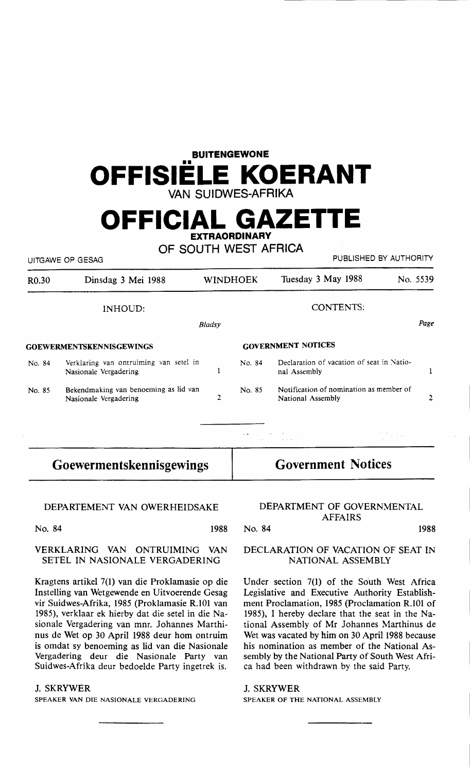# **BUITENGEWONE OFFISIELE KOERANT VAN SUIDWES-AFRIKA**

# **OFFICIAL GAZETTE EXTRAORDINARY**

**OF SOUTH WEST AFRICA** 

UITGAWE OP GESAG **PUBLISHED BY AUTHORITY** 

| R <sub>0.30</sub>               | Dinsdag 3 Mei 1988                                              |                | <b>WINDHOEK</b>           | Tuesday 3 May 1988                                           | No. 5539 |
|---------------------------------|-----------------------------------------------------------------|----------------|---------------------------|--------------------------------------------------------------|----------|
|                                 | <b>INHOUD:</b>                                                  |                |                           | <b>CONTENTS:</b>                                             |          |
|                                 |                                                                 | Bladsy         |                           |                                                              | Page     |
| <b>GOEWERMENTSKENNISGEWINGS</b> |                                                                 |                | <b>GOVERNMENT NOTICES</b> |                                                              |          |
| No. 84                          | Verklaring van ontruiming van setel in<br>Nasionale Vergadering | 1              | No. 84                    | Declaration of vacation of seat in Natio-<br>nal Assembly    |          |
| No. 85                          | Bekendmaking van benoeming as lid van<br>Nasionale Vergadering  | $\overline{2}$ | No. 85                    | Notification of nomination as member of<br>National Assembly |          |
|                                 |                                                                 |                |                           | the control of the state of the con-                         |          |

## **Goewermentskennisgewings**

## **Government Notices**

#### DEPARTEMENT VAN OWERHEIDSAKE

No. 84 1988 No. 84 1988 1988 No. 84

### **VERKLARING VAN** ONTRUIMING VAN SETEL IN NASIONALE VERGADERING

Kragtens artikel 7(1) van die Proklamasie op die Instelling van Wetgewende en Uitvoerende Gesag vir Suidwes-Afrika, 1985 (Proklamasie R.101 van 1985), verklaar ek hierby dat die setel in die Nasionale Vergadering van mnr. Johannes Marthinus de Wet op 30 April 1988 deur horn ontruim is omdat sy benoeming as lid van die Nasionale Vergadering deur die Nasionale Party van Suidwes-Afrika deur bedoelde Party ingetrek is.

### J. SKRYWER

SPEAKER VAN DIE NASIONALE VERGADERING

### DEPARTMENT OF GOVERNMENTAL AFFAIRS

### DECLARATION OF VACATION OF SEAT IN NATIONAL ASSEMBLY

Under section 7(1) of the South West Africa Legislative and Executive Authority Establishment Proclamation, 1985 (Proclamation R.101 of 1985), I hereby declare that the seat in the National Assembly of Mr Johannes Marthinus de Wet was vacated by him on 30 April 1988 because his nomination as member of the National Assembly by the National Party of South West Africa had been withdrawn by the said Party.

#### J. SKRYWER

SPEAKER OF THE NATIONAL ASSEMBLY